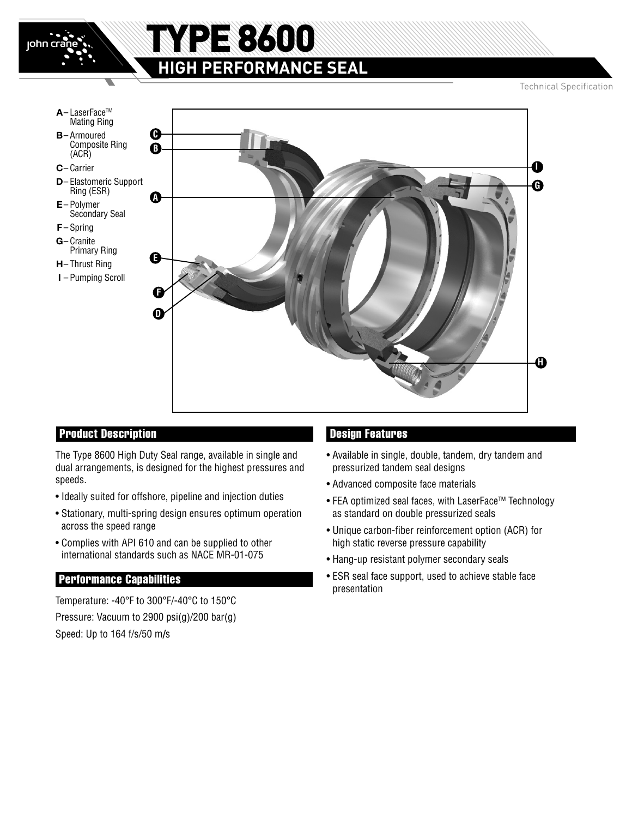

### Product Description

The Type 8600 High Duty Seal range, available in single and dual arrangements, is designed for the highest pressures and speeds.

- Ideally suited for offshore, pipeline and injection duties
- Stationary, multi-spring design ensures optimum operation across the speed range
- Complies with API 610 and can be supplied to other international standards such as NACE MR-01-075

#### Performance Capabilities

Temperature: -40°F to 300°F/-40°C to 150°C Pressure: Vacuum to 2900 psi(g)/200 bar(g) Speed: Up to 164 f/s/50 m**/**s

### Design Features

- Available in single, double, tandem, dry tandem and pressurized tandem seal designs
- Advanced composite face materials
- FEA optimized seal faces, with LaserFace™ Technology as standard on double pressurized seals
- Unique carbon-fiber reinforcement option (ACR) for high static reverse pressure capability
- Hang-up resistant polymer secondary seals
- ESR seal face support, used to achieve stable face presentation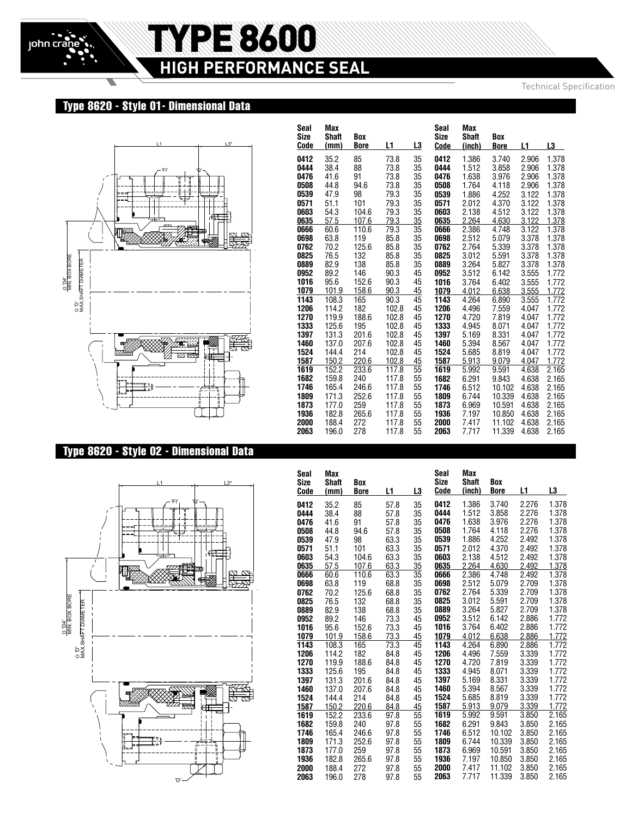# TYPE 8600 **HIGH PERFORMANCE SEAL**

Technical Specification

## Type 8620 - Style 01- Dimensional Data



## Type 8620 - Style 02 - Dimensional Data



| Seal<br><b>Size</b><br>Code | Max<br><b>Shaft</b><br>(mm) | Box<br><b>Bore</b> | L1           | L3       | Seal<br>Size<br>Code | Max<br><b>Shaft</b><br>(inch) | Box<br><b>Bore</b> | L1             | L3             |
|-----------------------------|-----------------------------|--------------------|--------------|----------|----------------------|-------------------------------|--------------------|----------------|----------------|
| 0412                        | 35.2                        | 85                 | 73.8         | 35       | 0412                 | 1.386                         | 3.740              | 2.906          | 1.378          |
| 0444                        | 38.4                        | 88                 | 73.8         | 35       | 0444                 | 1.512                         | 3.858              | 2.906          | 1.378          |
| 0476                        | 41.6                        | 91                 | 73.8         | 35       | 0476                 | 1.638                         | 3.976              | 2.906          | 1.378          |
| 0508                        | 44.8                        | 94.6               | 73.8         | 35       | 0508                 | 1.764                         | 4.118              | 2.906          | 1.378          |
| 0539                        | 47.9                        | 98                 | 79.3         | 35       | 0539                 | 1.886                         | 4.252              | 3.122          | 1.378          |
| 0571                        | 51.1                        | 101                | 79.3         | 35       | 0571                 | 2.012                         | 4.370              | 3.122          | 1.378          |
| 0603                        | 54.3                        | 104.6              | 79.3         | 35       | 0603                 | 2.138                         | 4.512              | 3.122          | 1.378          |
| 0635                        | 57.5                        | 107.6              | 79.3         | 35       | 0635                 | 2.264                         | 4.630              | 3.122          | 1.378          |
| 0666                        | 60.6                        | 110.6              | 79.3         | 35       | 0666                 | 2.386                         | 4.748              | 3.122          | 1.378          |
| 0698                        | 63.8                        | 119                | 85.8         | 35       | 0698<br>0762         | 2.512                         | 5.079              | 3.378          | 1.378          |
| 0762<br>0825                | 70.2<br>76.5                | 125.6<br>132       | 85.8<br>85.8 | 35<br>35 | 0825                 | 2.764<br>3.012                | 5.339<br>5.591     | 3.378<br>3.378 | 1.378<br>1.378 |
| 0889                        | 82.9                        | 138                | 85.8         | 35       | 0889                 | 3.264                         | 5.827              | 3.378          | 1.378          |
| 0952                        | 89.2                        | 146                | 90.3         | 45       | 0952                 | 3.512                         | 6.142              | 3.555          | 1.772          |
| 1016                        | 95.6                        | 152.6              | 90.3         | 45       | 1016                 | 3.764                         | 6.402              | 3.555          | 1.772          |
| 1079                        | 101.9                       | 158.6              | 90.3         | 45       | 1079                 | 4.012                         | 6.638              | 3.555          | 1.772          |
| 1143                        | 108.3                       | 165                | 90.3         | 45       | 1143                 | 4.264                         | 6.890              | 3.555          | 1.772          |
| 1206                        | 114.2                       | 182                | 102.8        | 45       | 1206                 | 4.496                         | 7.559              | 4.047          | 1.772          |
| 1270                        | 119.9                       | 188.6              | 102.8        | 45       | 1270                 | 4.720                         | 7.819              | 4.047          | 1.772          |
| 1333                        | 125.6                       | 195                | 102.8        | 45       | 1333                 | 4.945                         | 8.071              | 4.047          | 1.772          |
| 1397                        | 131.3                       | 201.6              | 102.8        | 45       | 1397                 | 5.169                         | 8.331              | 4.047          | 1.772          |
| 1460                        | 137.0                       | 207.6              | 102.8        | 45       | 1460                 | 5.394                         | 8.567              | 4.047          | 1.772          |
| 1524                        | 144.4                       | 214                | 102.8        | 45       | 1524                 | 5.685                         | 8.819              | 4.047          | 1.772          |
| 1587                        | 150.2                       | 220.6              | 102.8        | 45       | 1587                 | 5.913                         | 9.079              | 4.047          | 1.772          |
| 1619                        | 152.2                       | 233.6              | 117.8        | 55       | 1619                 | 5.992                         | 9.591              | 4.638          | 2.165          |
| 1682                        | 159.8                       | 240                | 117.8        | 55       | 1682                 | 6.291                         | 9.843              | 4.638          | 2.165          |
| 1746                        | 165.4                       | 246.6              | 117.8        | 55       | 1746                 | 6.512                         | 10.102             | 4.638          | 2.165          |
| 1809                        | 171.3                       | 252.6              | 117.8        | 55       | 1809                 | 6.744                         | 10.339             | 4.638          | 2.165          |
| 1873                        | 177.0                       | 259                | 117.8        | 55       | 1873                 | 6.969                         | 10.591             | 4.638          | 2.165          |
| 1936                        | 182.8                       | 265.6              | 117.8        | 55       | 1936                 | 7.197                         | 10.850             | 4.638          | 2.165          |
| 2000                        | 188.4                       | 272                | 117.8        | 55       | 2000                 | 7.417                         | 11.102             | 4.638          | 2.165          |
| 2063                        | 196.0                       | 278                | 117.8        | 55       | 2063                 | 7.717                         | 11.339             | 4.638          | 2.165          |

| Seal<br>Size | Max<br><b>Shaft</b> | Box         |              |          | Seal<br>Size | Max<br><b>Shaft</b> | Box            |                |                |
|--------------|---------------------|-------------|--------------|----------|--------------|---------------------|----------------|----------------|----------------|
| Code         | (mm)                | <b>Bore</b> | L1           | L3       | Code         | (inch)              | <b>Bore</b>    | L1             | L3             |
| 0412         | 35.2                | 85          | 57.8         | 35       | 0412         | 1.386               | 3.740          | 2.276          | 1.378          |
| 0444         | 38.4                | 88          | 57.8         | 35       | 0444         | 1.512               | 3.858          | 2.276          | 1.378          |
| 0476         | 41.6                | 91          | 57.8         | 35       | 0476         | 1.638               | 3.976          | 2.276          | 1.378          |
| 0508         | 44.8                | 94.6        | 57.8         | 35       | 0508         | 1.764               | 4.118          | 2.276          | 1.378          |
| 0539         | 47.9                | 98          | 63.3         | 35       | 0539         | 1.886               | 4.252          | 2.492          | 1.378          |
| 0571         | 51.1                | 101         | 63.3         | 35       | 0571         | 2.012               | 4.370          | 2.492          | 1.378          |
| 0603         | 54.3                | 104.6       | 63.3         | 35       | 0603         | 2.138               | 4.512          | 2.492          | 1.378          |
| 0635         | 57.5                | 107.6       | 63.3         | 35       | 0635         | 2.264               | 4.630          | 2.492          | 1.378          |
| 0666         | 60.6                | 110.6       | 63.3         | 35       | 0666         | 2.386               | 4.748          | 2.492          | 1.378          |
| 0698         | 63.8                | 119         | 68.8         | 35       | 0698         | 2.512               | 5.079          | 2.709          | 1.378          |
| 0762         | 70.2                | 125.6       | 68.8         | 35       | 0762         | 2.764               | 5.339          | 2.709          | 1.378          |
| 0825         | 76.5                | 132         | 68.8         | 35       | 0825         | 3.012               | 5.591          | 2.709          | 1.378          |
| 0889         | 82.9                | 138         | 68.8         | 35       | 0889         | 3.264               | 5.827          | 2.709          | 1.378          |
| 0952         | 89.2                | 146         | 73.3         | 45       | 0952         | 3.512               | 6.142          | 2.886          | 1.772          |
| 1016         | 95.6                | 152.6       | 73.3         | 45       | 1016         | 3.764               | 6.402          | 2.886          | 1.772          |
| 1079         | 101.9               | 158.6       | 73.3         | 45       | 1079         | 4.012               | 6.638          | 2.886          | 1.772          |
| 1143<br>1206 | 108.3<br>114.2      | 165<br>182  | 73.3<br>84.8 | 45<br>45 | 1143<br>1206 | 4.264<br>4.496      | 6.890          | 2.886          | 1.772<br>1.772 |
| 1270         | 119.9               | 188.6       | 84.8         | 45       | 1270         | 4.720               | 7.559<br>7.819 | 3.339<br>3.339 | 1.772          |
| 1333         | 125.6               | 195         | 84.8         | 45       | 1333         | 4.945               | 8.071          | 3.339          | 1.772          |
| 1397         | 131.3               | 201.6       | 84.8         | 45       | 1397         | 5.169               | 8.331          | 3.339          | 1.772          |
| 1460         | 137.0               | 207.6       | 84.8         | 45       | 1460         | 5.394               | 8.567          | 3.339          | 1.772          |
| 1524         | 144.4               | 214         | 84.8         | 45       | 1524         | 5.685               | 8.819          | 3.339          | 1.772          |
| 1587         | 150.2               | 220.6       | 84.8         | 45       | 1587         | 5.913               | 9.079          | 3.339          | 1.772          |
| 1619         | 152.2               | 233.6       | 97.8         | 55       | 1619         | 5.992               | 9.591          | 3.850          | 2.165          |
| 1682         | 159.8               | 240         | 97.8         | 55       | 1682         | 6.291               | 9.843          | 3.850          | 2.165          |
| 1746         | 165.4               | 246.6       | 97.8         | 55       | 1746         | 6.512               | 10.102         | 3.850          | 2.165          |
| 1809         | 171.3               | 252.6       | 97.8         | 55       | 1809         | 6.744               | 10.339         | 3.850          | 2.165          |
| 1873         | 177.0               | 259         | 97.8         | 55       | 1873         | 6.969               | 10.591         | 3.850          | 2.165          |
| 1936         | 182.8               | 265.6       | 97.8         | 55       | 1936         | 7.197               | 10.850         | 3.850          | 2.165          |
| 2000         | 188.4               | 272         | 97.8         | 55       | 2000         | 7.417               | 11.102         | 3.850          | 2.165          |
| 2063         | 196.0               | 278         | 97.8         | 55       | 2063         | 7.717               | 11.339         | 3.850          | 2.165          |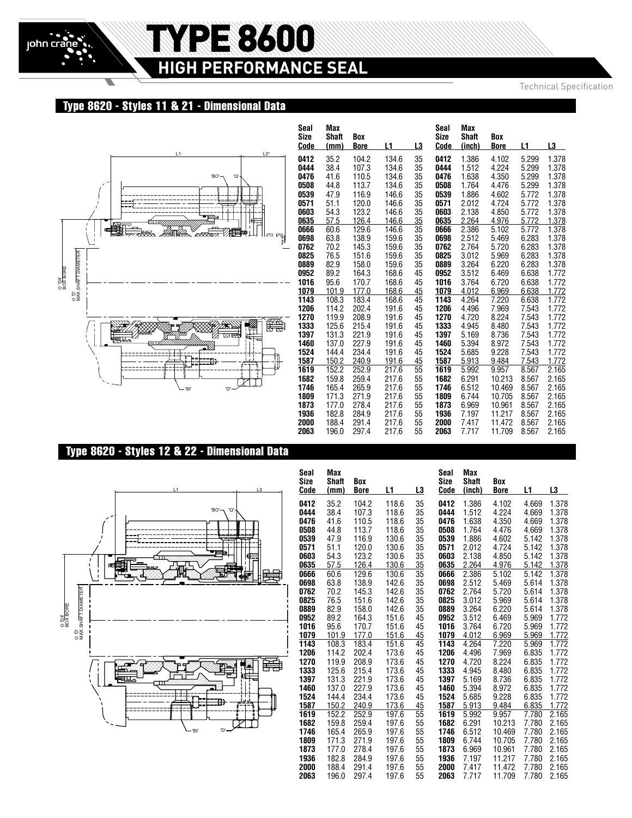# TYPE 8600 **HIGH PERFORMANCE SEAL**

Technical Specification

# Type 8620 - Styles 11 & 21 - Dimensional Data



| Seal<br>Size<br>Code | Max<br><b>Shaft</b><br>(mm) | Box<br><b>Bore</b> | L1             | L3       | Seal<br>Size<br>Code | Max<br><b>Shaft</b><br>(inch) | Box<br><b>Bore</b> | L1             | L3             |
|----------------------|-----------------------------|--------------------|----------------|----------|----------------------|-------------------------------|--------------------|----------------|----------------|
| 0412                 | 35.2                        | 104.2              | 134.6          | 35       | 0412                 | 1.386                         | 4.102              | 5.299          | 1.378          |
| 0444                 | 38.4                        | 107.3              | 134.6          | 35       | 0444                 | 1.512                         | 4.224              | 5.299          | 1.378          |
| 0476                 | 41.6                        | 110.5              | 134.6          | 35       | 0476                 | 1.638                         | 4.350              | 5.299          | 1.378          |
| 0508                 | 44.8                        | 113.7              | 134.6          | 35       | 0508                 | 1.764                         | 4.476              | 5.299          | 1.378          |
| 0539                 | 47.9                        | 116.9              | 146.6          | 35       | 0539                 | 1.886                         | 4.602              | 5.772          | 1.378          |
| 0571                 | 51.1<br>54.3                | 120.0              | 146.6          | 35       | 0571                 | 2.012                         | 4.724              | 5.772          | 1.378<br>1.378 |
| 0603<br>0635         | 57.5                        | 123.2<br>126.4     | 146.6<br>146.6 | 35<br>35 | 0603<br>0635         | 2.138<br>2.264                | 4.850<br>4.976     | 5.772<br>5.772 | 1.378          |
| 0666                 | 60.6                        | 129.6              | 146.6          | 35       | 0666                 | 2.386                         | 5.102              | 5.772          | 1.378          |
| 0698                 | 63.8                        | 138.9              | 159.6          | 35       | 0698                 | 2.512                         | 5.469              | 6.283          | 1.378          |
| 0762                 | 70.2                        | 145.3              | 159.6          | 35       | 0762                 | 2.764                         | 5.720              | 6.283          | 1.378          |
| 0825                 | 76.5                        | 151.6              | 159.6          | 35       | 0825                 | 3.012                         | 5.969              | 6.283          | 1.378          |
| 0889                 | 82.9                        | 158.0              | 159.6          | 35       | 0889                 | 3.264                         | 6.220              | 6.283          | 1.378          |
| 0952                 | 89.2                        | 164.3              | 168.6          | 45       | 0952                 | 3.512                         | 6.469              | 6.638          | 1.772          |
| 1016                 | 95.6                        | 170.7              | 168.6          | 45       | 1016                 | 3.764                         | 6.720              | 6.638          | 1.772          |
| 1079                 | 101.9                       | 177.0              | 168.6          | 45       | 1079                 | 4.012                         | 6.969              | 6.638          | 1.772          |
| 1143                 | 108.3                       | 183.4              | 168.6          | 45       | 1143                 | 4.264                         | 7.220              | 6.638          | 1.772          |
| 1206                 | 114.2                       | 202.4              | 191.6          | 45       | 1206                 | 4.496                         | 7.969              | 7.543          | 1.772          |
| 1270                 | 119.9                       | 208.9              | 191.6          | 45       | 1270                 | 4.720                         | 8.224              | 7.543          | 1.772          |
| 1333                 | 125.6<br>131.3              | 215.4<br>221.9     | 191.6<br>191.6 | 45<br>45 | 1333<br>1397         | 4.945<br>5.169                | 8.480<br>8.736     | 7.543<br>7.543 | 1.772<br>1.772 |
| 1397<br>1460         | 137.0                       | 227.9              | 191.6          | 45       | 1460                 | 5.394                         | 8.972              | 7.543          | 1.772          |
| 1524                 | 144.4                       | 234.4              | 191.6          | 45       | 1524                 | 5.685                         | 9.228              | 7.543          | 1.772          |
| 1587                 | 150.2                       | 240.9              | 191.6          | 45       | 1587                 | 5.913                         | 9.484              | 7.543          | 1.772          |
| 1619                 | 152.2                       | 252.9              | 217.6          | 55       | 1619                 | 5.992                         | 9.957              | 8.567          | 2.165          |
| 1682                 | 159.8                       | 259.4              | 217.6          | 55       | 1682                 | 6.291                         | 10.213             | 8.567          | 2.165          |
| 1746                 | 165.4                       | 265.9              | 217.6          | 55       | 1746                 | 6.512                         | 10.469             | 8.567          | 2.165          |
| 1809                 | 171.3                       | 271.9              | 217.6          | 55       | 1809                 | 6.744                         | 10.705             | 8.567          | 2.165          |
| 1873                 | 177.0                       | 278.4              | 217.6          | 55       | 1873                 | 6.969                         | 10.961             | 8.567          | 2.165          |
| 1936                 | 182.8                       | 284.9              | 217.6          | 55       | 1936                 | 7.197                         | 11.217             | 8.567          | 2.165          |
| 2000                 | 188.4                       | 291.4              | 217.6          | 55       | 2000                 | 7.417                         | 11.472             | 8.567          | 2.165          |
| 2063                 | 196.0                       | 297.4              | 217.6          | 55       | 2063                 | 7.717                         | 11.709             | 8.567          | 2.165          |

## Type 8620 - Styles 12 & 22 - Dimensional Data



| Seal<br><b>Size</b><br>Code | Max<br><b>Shaft</b><br>(mm) | Box<br><b>Bore</b> | L1             | L3       | Seal<br>Size<br>Code | Max<br><b>Shaft</b><br>(inch) | Box<br><b>Bore</b> | L1             | L3             |
|-----------------------------|-----------------------------|--------------------|----------------|----------|----------------------|-------------------------------|--------------------|----------------|----------------|
| 0412                        | 35.2                        | 104.2              | 118.6          | 35       | 0412                 | 1.386                         | 4.102              | 4.669          | 1.378          |
| 0444                        | 38.4                        | 107.3              | 118.6          | 35       | 0444                 | 1.512                         | 4.224              | 4.669          | 1.378          |
| 0476                        | 41.6                        | 110.5              | 118.6          | 35       | 0476                 | 1.638                         | 4.350              | 4.669          | 1.378          |
| 0508                        | 44.8                        | 113.7              | 118.6          | 35       | 0508                 | 1.764                         | 4.476              | 4.669          | 1.378          |
| 0539                        | 47.9                        | 116.9              | 130.6          | 35       | 0539                 | 1.886                         | 4.602              | 5.142          | 1.378          |
| 0571                        | 51.1                        | 120.0              | 130.6          | 35       | 0571                 | 2.012                         | 4.724              | 5.142          | 1.378          |
| 0603                        | 54.3                        | 123.2              | 130.6          | 35       | 0603                 | 2.138                         | 4.850              | 5.142          | 1.378          |
| 0635                        | 57.5                        | 126.4              | 130.6          | 35       | 0635                 | 2.264                         | 4.976              | 5.142          | 1.378          |
| 0666                        | 60.6                        | 129.6              | 130.6          | 35       | 0666                 | 2.386                         | 5.102              | 5.142          | 1.378          |
| 0698                        | 63.8                        | 138.9              | 142.6          | 35       | 0698                 | 2.512                         | 5.469              | 5.614          | 1.378          |
| 0762                        | 70.2                        | 145.3              | 142.6          | 35       | 0762                 | 2.764                         | 5.720              | 5.614          | 1.378          |
| 0825                        | 76.5                        | 151.6              | 142.6          | 35       | 0825                 | 3.012                         | 5.969              | 5.614          | 1.378          |
| 0889                        | 82.9                        | 158.0              | 142.6          | 35       | 0889                 | 3.264                         | 6.220              | 5.614          | 1.378          |
| 0952                        | 89.2                        | 164.3              | 151.6          | 45       | 0952                 | 3.512                         | 6.469              | 5.969          | 1.772          |
| 1016                        | 95.6                        | 170.7              | 151.6          | 45       | 1016                 | 3.764                         | 6.720              | 5.969          | 1.772          |
| 1079                        | 101.9                       | 177.0              | 151.6          | 45       | 1079                 | 4.012                         | 6.969              | 5.969          | 1.772          |
| 1143                        | 108.3                       | 183.4              | 151.6          | 45       | 1143                 | 4.264                         | 7.220              | 5.969          | 1.772          |
| 1206                        | 114.2                       | 202.4              | 173.6          | 45       | 1206                 | 4.496                         | 7.969              | 6.835          | 1.772          |
| 1270                        | 119.9                       | 208.9              | 173.6          | 45       | 1270                 | 4.720                         | 8.224              | 6.835          | 1.772          |
| 1333                        | 125.6                       | 215.4              | 173.6          | 45       | 1333                 | 4.945                         | 8.480              | 6.835          | 1.772          |
| 1397                        | 131.3                       | 221.9              | 173.6          | 45       | 1397                 | 5.169                         | 8.736              | 6.835          | 1.772          |
| 1460                        | 137.0                       | 227.9              | 173.6          | 45       | 1460                 | 5.394                         | 8.972              | 6.835          | 1.772          |
| 1524                        | 144.4                       | 234.4              | 173.6          | 45       | 1524                 | 5.685                         | 9.228              | 6.835          | 1.772          |
| 1587                        | 150.2                       | 240.9              | 173.6          | 45       | 1587                 | 5.913                         | 9.484              | 6.835          | 1.772          |
| 1619                        | 152.2                       | 252.9              | 197.6          | 55       | 1619                 | 5.992                         | 9.957              | 7.780          | 2.165          |
| 1682                        | 159.8                       | 259.4              | 197.6          | 55       | 1682                 | 6.291                         | 10.213             | 7.780          | 2.165          |
| 1746                        | 165.4                       | 265.9              | 197.6          | 55       | 1746                 | 6.512                         | 10.469             | 7.780          | 2.165          |
| 1809                        | 171.3                       | 271.9              | 197.6          | 55       | 1809                 | 6.744                         | 10.705             | 7.780          | 2.165          |
| 1873                        | 177.0                       | 278.4              | 197.6          | 55       | 1873                 | 6.969                         | 10.961             | 7.780          | 2.165          |
| 1936<br>2000                | 182.8<br>188.4              | 284.9<br>291.4     | 197.6          | 55<br>55 | 1936<br>2000         | 7.197<br>7.417                | 11.217<br>11.472   | 7.780<br>7.780 | 2.165<br>2.165 |
| 2063                        | 196.0                       | 297.4              | 197.6<br>197.6 | 55       | 2063                 | 7.717                         | 11.709             | 7.780          | 2.165          |
|                             |                             |                    |                |          |                      |                               |                    |                |                |